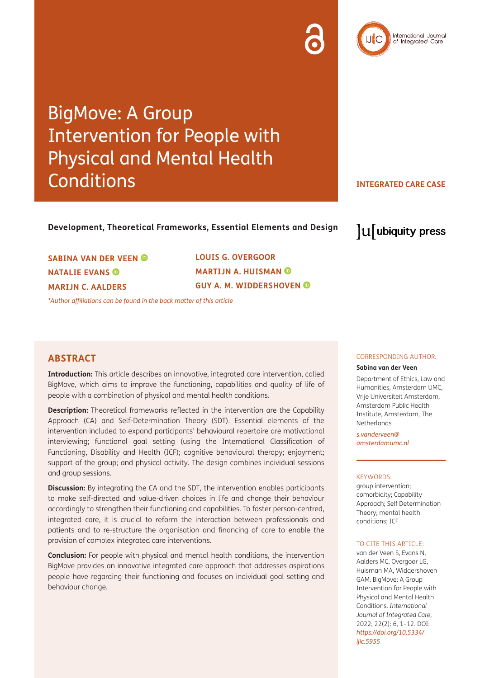# BigMove: A Group Intervention for People with Physical and Mental Health **Conditions**

**INTEGRATED CARE CASE**

 $\mathrm{u}$  ubiquity press

International Journal of Integrated Care

## **Development, Theoretical Frameworks, Essential Elements and Design**

**SABINA VAN DER VEEN NATALIE EVANS MARIJN C. AALDERS**

**LOUIS G. OVERGOOR MARTIJN A. HUISMAN GUY A. M. WIDDERSHOVEN** 

*\*Author affiliations can be found in the back matter of this article*

# **ABSTRACT**

**Introduction:** This article describes an innovative, integrated care intervention, called BigMove, which aims to improve the functioning, capabilities and quality of life of people with a combination of physical and mental health conditions.

**Description:** Theoretical frameworks reflected in the intervention are the Capability Approach (CA) and Self-Determination Theory (SDT). Essential elements of the intervention included to expand participants' behavioural repertoire are motivational interviewing; functional goal setting (using the International Classification of Functioning, Disability and Health (ICF); cognitive behavioural therapy; enjoyment; support of the group; and physical activity. The design combines individual sessions and group sessions.

**Discussion:** By integrating the CA and the SDT, the intervention enables participants to make self-directed and value-driven choices in life and change their behaviour accordingly to strengthen their functioning and capabilities. To foster person-centred, integrated care, it is crucial to reform the interaction between professionals and patients and to re-structure the organisation and financing of care to enable the provision of complex integrated care interventions.

**Conclusion:** For people with physical and mental health conditions, the intervention BigMove provides an innovative integrated care approach that addresses aspirations people have regarding their functioning and focuses on individual goal setting and behaviour change.

#### CORRESPONDING AUTHOR:

#### **Sabina van der Veen**

Department of Ethics, Law and Humanities, Amsterdam UMC, Vrije Universiteit Amsterdam, Amsterdam Public Health Institute, Amsterdam, The **Netherlands** 

*[s.vanderveen@](mailto:s.vanderveen@amsterdamumc.nl) [amsterdamumc.nl](mailto:s.vanderveen@amsterdamumc.nl)*

#### KEYWORDS:

group intervention; comorbidity; Capability Approach; Self Determination Theory; mental health conditions; ICF

#### TO CITE THIS ARTICLE:

van der Veen S, Evans N, Aalders MC, Overgoor LG, Huisman MA, Widdershoven GAM. BigMove: A Group Intervention for People with Physical and Mental Health Conditions. *International Journal of Integrated Care,* 2022; 22(2): 6, 1–12. DOI: *[https://doi.org/10.5334/](https://doi.org/10.5334/ijic.5955) [ijic.5955](https://doi.org/10.5334/ijic.5955)*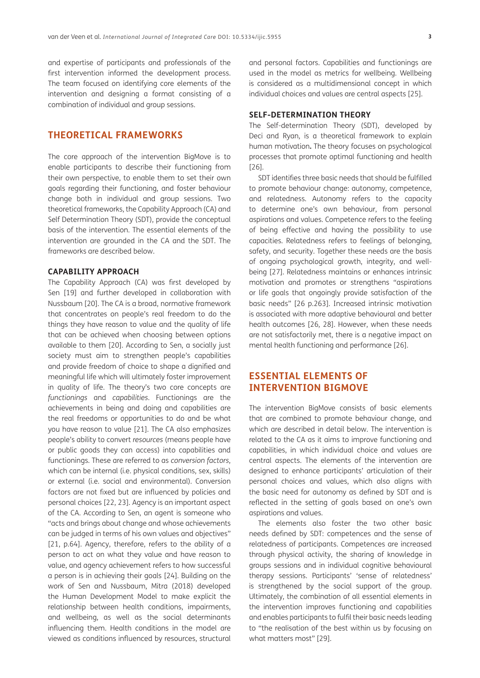and expertise of participants and professionals of the first intervention informed the development process. The team focused on identifying core elements of the intervention and designing a format consisting of a combination of individual and group sessions.

# **THEORETICAL FRAMEWORKS**

The core approach of the intervention BigMove is to enable participants to describe their functioning from their own perspective, to enable them to set their own goals regarding their functioning, and foster behaviour change both in individual and group sessions. Two theoretical frameworks, the Capability Approach (CA) and Self Determination Theory (SDT), provide the conceptual basis of the intervention. The essential elements of the intervention are grounded in the CA and the SDT. The frameworks are described below.

## **CAPABILITY APPROACH**

The Capability Approach (CA) was first developed by Sen [19] and further developed in collaboration with Nussbaum [[20](#page-8-0)]. The CA is a broad, normative framework that concentrates on people's real freedom to do the things they have reason to value and the quality of life that can be achieved when choosing between options available to them [[20\]](#page-8-0). According to Sen, a socially just society must aim to strengthen people's capabilities and provide freedom of choice to shape a dignified and meaningful life which will ultimately foster improvement in quality of life. The theory's two core concepts are *functionings* and *capabilities*. Functionings are the achievements in being and doing and capabilities are the real freedoms or opportunities to do and be what you have reason to value [\[21](#page-8-1)]. The CA also emphasizes people's ability to convert *resources* (means people have or public goods they can access) into capabilities and functionings. These are referred to as *conversion factors*, which can be internal (i.e. physical conditions, sex, skills) or external (i.e. social and environmental). Conversion factors are not fixed but are influenced by policies and personal choices [[22,](#page-8-2) [23\]](#page-8-3). Agency is an important aspect of the CA. According to Sen, an agent is someone who "acts and brings about change and whose achievements can be judged in terms of his own values and objectives" [\[21, p.64\]](#page-8-1). Agency, therefore, refers to the ability of a person to act on what they value and have reason to value, and agency achievement refers to how successful a person is in achieving their goals [\[24\]](#page-8-4). Building on the work of Sen and Nussbaum, Mitra (2018) developed the Human Development Model to make explicit the relationship between health conditions, impairments, and wellbeing, as well as the social determinants influencing them. Health conditions in the model are viewed as conditions influenced by resources, structural and personal factors. Capabilities and functionings are used in the model as metrics for wellbeing. Wellbeing is considered as a multidimensional concept in which individual choices and values are central aspects [\[25](#page-8-5)].

#### **SELF-DETERMINATION THEORY**

The Self-determination Theory (SDT), developed by Deci and Ryan, is a theoretical framework to explain human motivation**.** The theory focuses on psychological processes that promote optimal functioning and health [26].

SDT identifies three basic needs that should be fulfilled to promote behaviour change: autonomy, competence, and relatedness. Autonomy refers to the capacity to determine one's own behaviour, from personal aspirations and values. Competence refers to the feeling of being effective and having the possibility to use capacities. Relatedness refers to feelings of belonging, safety, and security. Together these needs are the basis of ongoing psychological growth, integrity, and wellbeing [\[27\]](#page-9-0). Relatedness maintains or enhances intrinsic motivation and promotes or strengthens "aspirations or life goals that ongoingly provide satisfaction of the basic needs" [26 p.263]. Increased intrinsic motivation is associated with more adaptive behavioural and better health outcomes [26, [28\]](#page-9-1). However, when these needs are not satisfactorily met, there is a negative impact on mental health functioning and performance [26].

# **ESSENTIAL ELEMENTS OF INTERVENTION BIGMOVE**

The intervention BigMove consists of basic elements that are combined to promote behaviour change, and which are described in detail below. The intervention is related to the CA as it aims to improve functioning and capabilities, in which individual choice and values are central aspects. The elements of the intervention are designed to enhance participants' articulation of their personal choices and values, which also aligns with the basic need for autonomy as defined by SDT and is reflected in the setting of goals based on one's own aspirations and values.

The elements also foster the two other basic needs defined by SDT: competences and the sense of relatedness of participants. Competences are increased through physical activity, the sharing of knowledge in groups sessions and in individual cognitive behavioural therapy sessions. Participants' 'sense of relatedness' is strengthened by the social support of the group. Ultimately, the combination of all essential elements in the intervention improves functioning and capabilities and enables participants to fulfil their basic needs leading to "the realisation of the best within us by focusing on what matters most" [[29](#page-9-2)].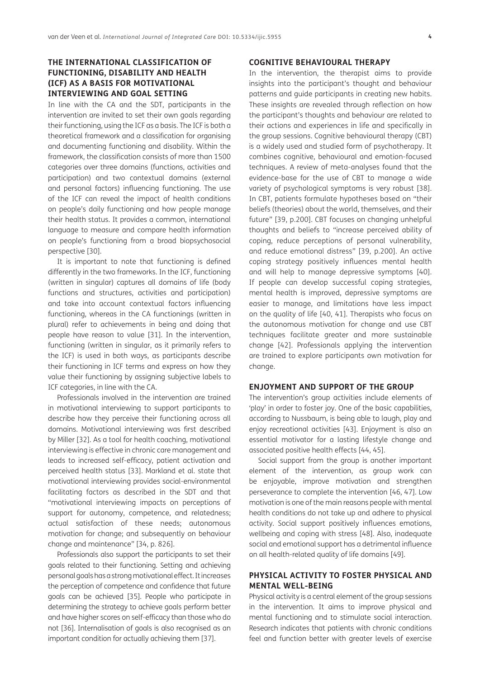# **THE INTERNATIONAL CLASSIFICATION OF FUNCTIONING, DISABILITY AND HEALTH (ICF) AS A BASIS FOR MOTIVATIONAL INTERVIEWING AND GOAL SETTING**

In line with the CA and the SDT, participants in the intervention are invited to set their own goals regarding their functioning, using the ICF as a basis. The ICF is both a theoretical framework and a classification for organising and documenting functioning and disability. Within the framework, the classification consists of more than 1500 categories over three domains (functions, activities and participation) and two contextual domains (external and personal factors) influencing functioning. The use of the ICF can reveal the impact of health conditions on people's daily functioning and how people manage their health status. It provides a common, international language to measure and compare health information on people's functioning from a broad biopsychosocial perspective [[30](#page-9-3)].

It is important to note that functioning is defined differently in the two frameworks. In the ICF, functioning (written in singular) captures all domains of life (body functions and structures, activities and participation) and take into account contextual factors influencing functioning, whereas in the CA functionings (written in plural) refer to achievements in being and doing that people have reason to value [\[31\]](#page-9-4). In the intervention, functioning (written in singular, as it primarily refers to the ICF) is used in both ways, as participants describe their functioning in ICF terms and express on how they value their functioning by assigning subjective labels to ICF categories, in line with the CA.

Professionals involved in the intervention are trained in motivational interviewing to support participants to describe how they perceive their functioning across all domains. Motivational interviewing was first described by Miller [[32](#page-9-5)]. As a tool for health coaching, motivational interviewing is effective in chronic care management and leads to increased self-efficacy, patient activation and perceived health status [[33](#page-9-6)]. Markland et al. state that motivational interviewing provides social-environmental facilitating factors as described in the SDT and that "motivational interviewing impacts on perceptions of support for autonomy, competence, and relatedness; actual satisfaction of these needs; autonomous motivation for change; and subsequently on behaviour change and maintenance" [[34, p. 826\]](#page-9-7).

Professionals also support the participants to set their goals related to their functioning. Setting and achieving personal goals has a strong motivational effect. It increases the perception of competence and confidence that future goals can be achieved [[35\]](#page-9-8). People who participate in determining the strategy to achieve goals perform better and have higher scores on self-efficacy than those who do not [[36\]](#page-9-9). Internalisation of goals is also recognised as an important condition for actually achieving them [\[37\]](#page-9-10).

### **COGNITIVE BEHAVIOURAL THERAPY**

In the intervention, the therapist aims to provide insights into the participant's thought and behaviour patterns and guide participants in creating new habits. These insights are revealed through reflection on how the participant's thoughts and behaviour are related to their actions and experiences in life and specifically in the group sessions. Cognitive behavioural therapy (CBT) is a widely used and studied form of psychotherapy. It combines cognitive, behavioural and emotion-focused techniques. A review of meta-analyses found that the evidence-base for the use of CBT to manage a wide variety of psychological symptoms is very robust [[38\]](#page-9-11). In CBT, patients formulate hypotheses based on "their beliefs (theories) about the world, themselves, and their future" [[39, p.200\]](#page-9-12). CBT focuses on changing unhelpful thoughts and beliefs to "increase perceived ability of coping, reduce perceptions of personal vulnerability, and reduce emotional distress" [[39, p.200\]](#page-9-12). An active coping strategy positively influences mental health and will help to manage depressive symptoms [[40\]](#page-9-13). If people can develop successful coping strategies, mental health is improved, depressive symptoms are easier to manage, and limitations have less impact on the quality of life [[40](#page-9-13), 41]. Therapists who focus on the autonomous motivation for change and use CBT techniques facilitate greater and more sustainable change [[42](#page-9-14)]. Professionals applying the intervention are trained to explore participants own motivation for change.

#### **ENJOYMENT AND SUPPORT OF THE GROUP**

The intervention's group activities include elements of 'play' in order to foster joy. One of the basic capabilities, according to Nussbaum, is being able to laugh, play and enjoy recreational activities [43]. Enjoyment is also an essential motivator for a lasting lifestyle change and associated positive health effects [[44](#page-9-15), [45\]](#page-9-16).

Social support from the group is another important element of the intervention, as group work can be enjoyable, improve motivation and strengthen perseverance to complete the intervention [46, [47\]](#page-9-17). Low motivation is one of the main reasons people with mental health conditions do not take up and adhere to physical activity. Social support positively influences emotions, wellbeing and coping with stress [\[48](#page-9-18)]. Also, inadequate social and emotional support has a detrimental influence on all health-related quality of life domains [[49\]](#page-9-19).

# **PHYSICAL ACTIVITY TO FOSTER PHYSICAL AND MENTAL WELL-BEING**

Physical activity is a central element of the group sessions in the intervention. It aims to improve physical and mental functioning and to stimulate social interaction. Research indicates that patients with chronic conditions feel and function better with greater levels of exercise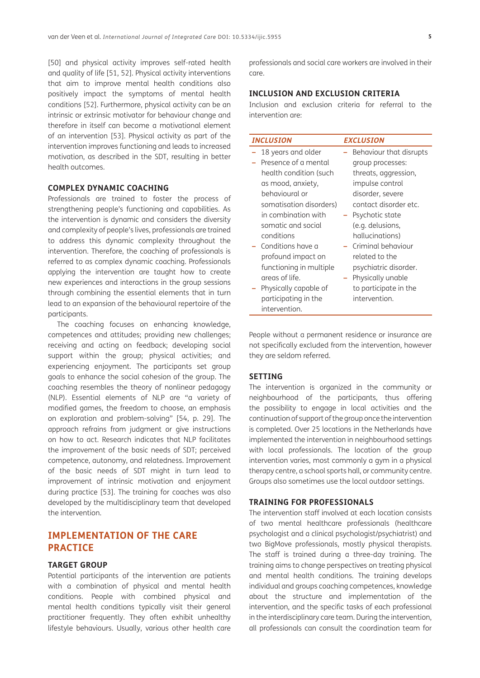[\[50\]](#page-9-20) and physical activity improves self-rated health and quality of life [51, [52](#page-10-0)]. Physical activity interventions that aim to improve mental health conditions also positively impact the symptoms of mental health conditions [[52\]](#page-10-0). Furthermore, physical activity can be an intrinsic or extrinsic motivator for behaviour change and therefore in itself can become a motivational element of an intervention [\[53\]](#page-10-1). Physical activity as part of the intervention improves functioning and leads to increased motivation, as described in the SDT, resulting in better health outcomes.

#### **COMPLEX DYNAMIC COACHING**

Professionals are trained to foster the process of strengthening people's functioning and capabilities. As the intervention is dynamic and considers the diversity and complexity of people's lives, professionals are trained to address this dynamic complexity throughout the intervention. Therefore, the coaching of professionals is referred to as complex dynamic coaching. Professionals applying the intervention are taught how to create new experiences and interactions in the group sessions through combining the essential elements that in turn lead to an expansion of the behavioural repertoire of the participants.

The coaching focuses on enhancing knowledge, competences and attitudes; providing new challenges; receiving and acting on feedback; developing social support within the group; physical activities; and experiencing enjoyment. The participants set group goals to enhance the social cohesion of the group. The coaching resembles the theory of nonlinear pedagogy (NLP). Essential elements of NLP are "a variety of modified games, the freedom to choose, an emphasis on exploration and problem-solving" [[54, p. 29\]](#page-10-2). The approach refrains from judgment or give instructions on how to act. Research indicates that NLP facilitates the improvement of the basic needs of SDT; perceived competence, autonomy, and relatedness. Improvement of the basic needs of SDT might in turn lead to improvement of intrinsic motivation and enjoyment during practice [[53\]](#page-10-1). The training for coaches was also developed by the multidisciplinary team that developed the intervention.

# **IMPLEMENTATION OF THE CARE PRACTICE**

#### **TARGET GROUP**

Potential participants of the intervention are patients with a combination of physical and mental health conditions. People with combined physical and mental health conditions typically visit their general practitioner frequently. They often exhibit unhealthy lifestyle behaviours. Usually, various other health care professionals and social care workers are involved in their care.

# **INCLUSION AND EXCLUSION CRITERIA**

Inclusion and exclusion criteria for referral to the intervention are:

| <b>INCLUSION</b> |                         | <b>EXCLUSION</b> |                         |
|------------------|-------------------------|------------------|-------------------------|
|                  | 18 years and older      |                  | Behaviour that disrupts |
|                  | Presence of a mental    |                  | group processes:        |
|                  | health condition (such  |                  | threats, aggression,    |
|                  | as mood, anxiety,       |                  | impulse control         |
|                  | hehavioural or          |                  | disorder, severe        |
|                  | somatisation disorders) |                  | contact disorder etc.   |
|                  | in combination with     |                  | Psychotic state         |
|                  | somatic and social      |                  | (e.g. delusions,        |
|                  | conditions              |                  | hallucinations)         |
|                  | Conditions have a       |                  | Criminal behaviour      |
|                  | profound impact on      |                  | related to the          |
|                  | functioning in multiple |                  | psychiatric disorder.   |
|                  | areas of life.          |                  | Physically unable       |
|                  | Physically capable of   |                  | to participate in the   |
|                  | participating in the    |                  | intervention.           |
|                  | intervention.           |                  |                         |

People without a permanent residence or insurance are not specifically excluded from the intervention, however they are seldom referred.

#### **SETTING**

The intervention is organized in the community or neighbourhood of the participants, thus offering the possibility to engage in local activities and the continuation of support of the group once the intervention is completed. Over 25 locations in the Netherlands have implemented the intervention in neighbourhood settings with local professionals. The location of the group intervention varies, most commonly a gym in a physical therapy centre, a school sports hall, or community centre. Groups also sometimes use the local outdoor settings.

#### **TRAINING FOR PROFESSIONALS**

The intervention staff involved at each location consists of two mental healthcare professionals (healthcare psychologist and a clinical psychologist/psychiatrist) and two BigMove professionals, mostly physical therapists. The staff is trained during a three-day training. The training aims to change perspectives on treating physical and mental health conditions. The training develops individual and groups coaching competences, knowledge about the structure and implementation of the intervention, and the specific tasks of each professional in the interdisciplinary care team. During the intervention, all professionals can consult the coordination team for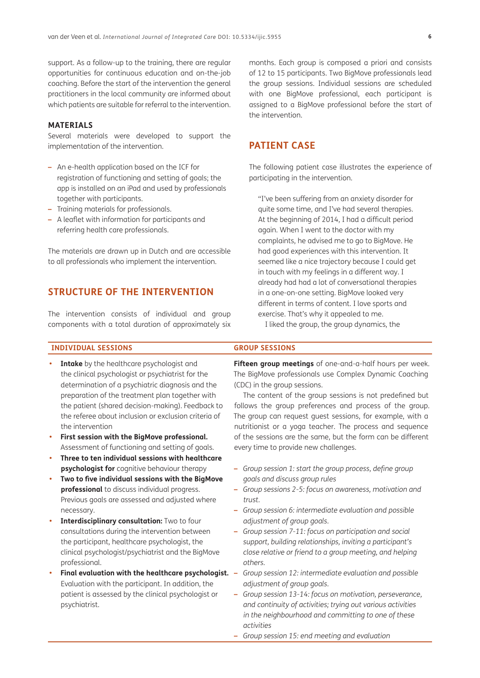support. As a follow-up to the training, there are regular opportunities for continuous education and on-the-job coaching. Before the start of the intervention the general practitioners in the local community are informed about which patients are suitable for referral to the intervention.

#### **MATERIALS**

Several materials were developed to support the implementation of the intervention.

- **–** An e-health application based on the ICF for registration of functioning and setting of goals; the app is installed on an iPad and used by professionals together with participants.
- **–** Training materials for professionals.
- **–** A leaflet with information for participants and referring health care professionals.

The materials are drawn up in Dutch and are accessible to all professionals who implement the intervention.

# **STRUCTURE OF THE INTERVENTION**

The intervention consists of individual and group components with a total duration of approximately six

months. Each group is composed a priori and consists of 12 to 15 participants. Two BigMove professionals lead the group sessions. Individual sessions are scheduled with one BigMove professional, each participant is assigned to a BigMove professional before the start of the intervention.

# **PATIENT CASE**

The following patient case illustrates the experience of participating in the intervention.

"I've been suffering from an anxiety disorder for quite some time, and I've had several therapies. At the beginning of 2014, I had a difficult period again. When I went to the doctor with my complaints, he advised me to go to BigMove. He had good experiences with this intervention. It seemed like a nice trajectory because I could get in touch with my feelings in a different way. I already had had a lot of conversational therapies in a one-on-one setting. BigMove looked very different in terms of content. I love sports and exercise. That's why it appealed to me.

I liked the group, the group dynamics, the

#### **INDIVIDUAL SESSIONS GROUP SESSIONS**

- **Intake** by the healthcare psychologist and the clinical psychologist or psychiatrist for the determination of a psychiatric diagnosis and the preparation of the treatment plan together with the patient (shared decision-making). Feedback to the referee about inclusion or exclusion criteria of the intervention
- **• First session with the BigMove professional.**  Assessment of functioning and setting of goals.
- **Three to ten individual sessions with healthcare psychologist for** cognitive behaviour therapy
- **• Two to five individual sessions with the BigMove professional** to discuss individual progress. Previous goals are assessed and adjusted where necessary.
- **Interdisciplinary consultation:** Two to four consultations during the intervention between the participant, healthcare psychologist, the clinical psychologist/psychiatrist and the BigMove professional.
- Final evaluation with the healthcare psychologist. -Evaluation with the participant. In addition, the patient is assessed by the clinical psychologist or psychiatrist.

**Fifteen group meetings** of one-and-a-half hours per week. The BigMove professionals use Complex Dynamic Coaching (CDC) in the group sessions.

The content of the group sessions is not predefined but follows the group preferences and process of the group. The group can request guest sessions, for example, with a nutritionist or a yoga teacher. The process and sequence of the sessions are the same, but the form can be different every time to provide new challenges.

- **–** *Group session 1: start the group process, define group goals and discuss group rules*
- **–** *Group sessions 2-5: focus on awareness, motivation and trust.*
- **–** *Group session 6: intermediate evaluation and possible adjustment of group goals.*
- **–** *Group session 7-11: focus on participation and social support, building relationships, inviting a participant's close relative or friend to a group meeting, and helping others.*
- **–** *Group session 12: intermediate evaluation and possible adjustment of group goals.*
- **–** *Group session 13-14: focus on motivation, perseverance, and continuity of activities; trying out various activities in the neighbourhood and committing to one of these activities*
- **–** *Group session 15: end meeting and evaluation*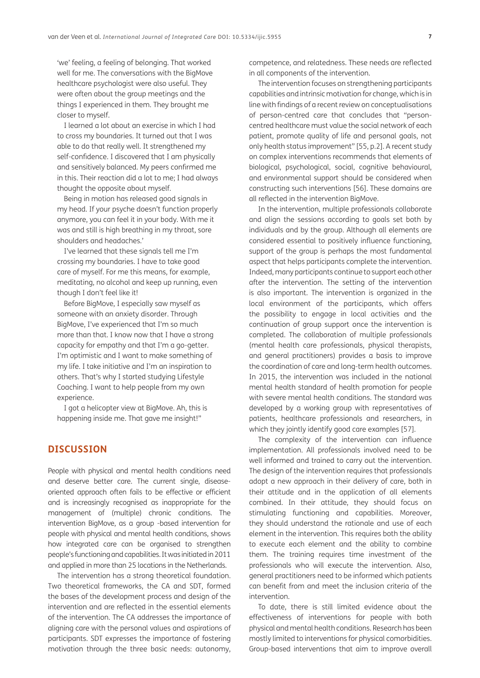'we' feeling, a feeling of belonging. That worked well for me. The conversations with the BigMove healthcare psychologist were also useful. They were often about the group meetings and the things I experienced in them. They brought me closer to myself.

I learned a lot about an exercise in which I had to cross my boundaries. It turned out that I was able to do that really well. It strengthened my self-confidence. I discovered that I am physically and sensitively balanced. My peers confirmed me in this. Their reaction did a lot to me; I had always thought the opposite about myself.

Being in motion has released good signals in my head. If your psyche doesn't function properly anymore, you can feel it in your body. With me it was and still is high breathing in my throat, sore shoulders and headaches.'

I've learned that these signals tell me I'm crossing my boundaries. I have to take good care of myself. For me this means, for example, meditating, no alcohol and keep up running, even though I don't feel like it!

Before BigMove, I especially saw myself as someone with an anxiety disorder. Through BigMove, I've experienced that I'm so much more than that. I know now that I have a strong capacity for empathy and that I'm a go-getter. I'm optimistic and I want to make something of my life. I take initiative and I'm an inspiration to others. That's why I started studying Lifestyle Coaching. I want to help people from my own experience.

I got a helicopter view at BigMove. Ah, this is happening inside me. That gave me insight!"

# **DISCUSSION**

People with physical and mental health conditions need and deserve better care. The current single, diseaseoriented approach often fails to be effective or efficient and is increasingly recognised as inappropriate for the management of (multiple) chronic conditions. The intervention BigMove, as a group -based intervention for people with physical and mental health conditions, shows how integrated care can be organised to strengthen people's functioning and capabilities. It was initiated in 2011 and applied in more than 25 locations in the Netherlands.

The intervention has a strong theoretical foundation. Two theoretical frameworks, the CA and SDT, formed the bases of the development process and design of the intervention and are reflected in the essential elements of the intervention. The CA addresses the importance of aligning care with the personal values and aspirations of participants. SDT expresses the importance of fostering motivation through the three basic needs: autonomy, competence, and relatedness. These needs are reflected in all components of the intervention.

The intervention focuses on strengthening participants capabilities and intrinsic motivation for change, which is in line with findings of a recent review on conceptualisations of person-centred care that concludes that "personcentred healthcare must value the social network of each patient, promote quality of life and personal goals, not only health status improvement" [\[55, p.2\]](#page-10-3). A recent study on complex interventions recommends that elements of biological, psychological, social, cognitive behavioural, and environmental support should be considered when constructing such interventions [\[56\]](#page-10-4). These domains are all reflected in the intervention BigMove.

In the intervention, multiple professionals collaborate and align the sessions according to goals set both by individuals and by the group. Although all elements are considered essential to positively influence functioning, support of the group is perhaps the most fundamental aspect that helps participants complete the intervention. Indeed, many participants continue to support each other after the intervention. The setting of the intervention is also important. The intervention is organized in the local environment of the participants, which offers the possibility to engage in local activities and the continuation of group support once the intervention is completed. The collaboration of multiple professionals (mental health care professionals, physical therapists, and general practitioners) provides a basis to improve the coordination of care and long-term health outcomes. In 2015, the intervention was included in the national mental health standard of health promotion for people with severe mental health conditions. The standard was developed by a working group with representatives of patients, healthcare professionals and researchers, in which they jointly identify good care examples [\[57\]](#page-10-5).

The complexity of the intervention can influence implementation. All professionals involved need to be well informed and trained to carry out the intervention. The design of the intervention requires that professionals adopt a new approach in their delivery of care, both in their attitude and in the application of all elements combined. In their attitude, they should focus on stimulating functioning and capabilities. Moreover, they should understand the rationale and use of each element in the intervention. This requires both the ability to execute each element and the ability to combine them. The training requires time investment of the professionals who will execute the intervention. Also, general practitioners need to be informed which patients can benefit from and meet the inclusion criteria of the intervention.

To date, there is still limited evidence about the effectiveness of interventions for people with both physical and mental health conditions. Research has been mostly limited to interventions for physical comorbidities. Group-based interventions that aim to improve overall